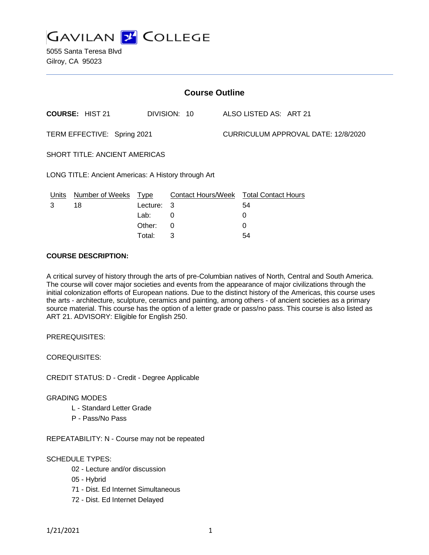

5055 Santa Teresa Blvd Gilroy, CA 95023

| <b>Course Outline</b>                               |                        |             |                                               |  |                                     |  |  |
|-----------------------------------------------------|------------------------|-------------|-----------------------------------------------|--|-------------------------------------|--|--|
|                                                     | <b>COURSE: HIST 21</b> |             | DIVISION: 10                                  |  | ALSO LISTED AS: ART 21              |  |  |
| TERM EFFECTIVE: Spring 2021                         |                        |             |                                               |  | CURRICULUM APPROVAL DATE: 12/8/2020 |  |  |
| <b>SHORT TITLE: ANCIENT AMERICAS</b>                |                        |             |                                               |  |                                     |  |  |
| LONG TITLE: Ancient Americas: A History through Art |                        |             |                                               |  |                                     |  |  |
| <u>Units</u>                                        | <b>Number of Weeks</b> | <u>Type</u> | <b>Contact Hours/Week Total Contact Hours</b> |  |                                     |  |  |
| 3                                                   | 18                     | Lecture:    | -3                                            |  | 54                                  |  |  |
|                                                     |                        | Lab:        | 0                                             |  | 0                                   |  |  |
|                                                     |                        | Other:      | $\Omega$                                      |  | 0                                   |  |  |
|                                                     |                        | Total:      | 3                                             |  | 54                                  |  |  |

#### **COURSE DESCRIPTION:**

A critical survey of history through the arts of pre-Columbian natives of North, Central and South America. The course will cover major societies and events from the appearance of major civilizations through the initial colonization efforts of European nations. Due to the distinct history of the Americas, this course uses the arts - architecture, sculpture, ceramics and painting, among others - of ancient societies as a primary source material. This course has the option of a letter grade or pass/no pass. This course is also listed as ART 21. ADVISORY: Eligible for English 250.

PREREQUISITES:

COREQUISITES:

CREDIT STATUS: D - Credit - Degree Applicable

#### GRADING MODES

- L Standard Letter Grade
- P Pass/No Pass

REPEATABILITY: N - Course may not be repeated

#### SCHEDULE TYPES:

- 02 Lecture and/or discussion
- 05 Hybrid
- 71 Dist. Ed Internet Simultaneous
- 72 Dist. Ed Internet Delayed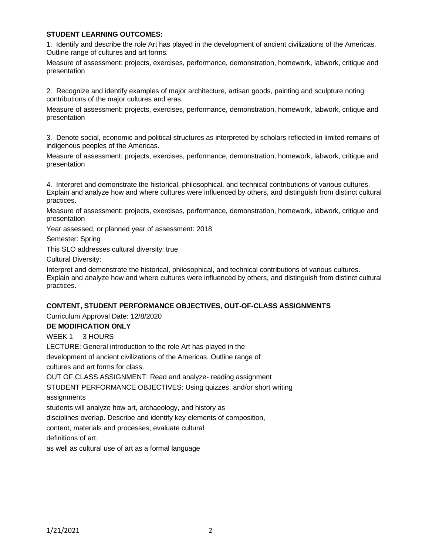### **STUDENT LEARNING OUTCOMES:**

1. Identify and describe the role Art has played in the development of ancient civilizations of the Americas. Outline range of cultures and art forms.

Measure of assessment: projects, exercises, performance, demonstration, homework, labwork, critique and presentation

2. Recognize and identify examples of major architecture, artisan goods, painting and sculpture noting contributions of the major cultures and eras.

Measure of assessment: projects, exercises, performance, demonstration, homework, labwork, critique and presentation

3. Denote social, economic and political structures as interpreted by scholars reflected in limited remains of indigenous peoples of the Americas.

Measure of assessment: projects, exercises, performance, demonstration, homework, labwork, critique and presentation

4. Interpret and demonstrate the historical, philosophical, and technical contributions of various cultures. Explain and analyze how and where cultures were influenced by others, and distinguish from distinct cultural practices.

Measure of assessment: projects, exercises, performance, demonstration, homework, labwork, critique and presentation

Year assessed, or planned year of assessment: 2018

Semester: Spring

This SLO addresses cultural diversity: true

Cultural Diversity:

Interpret and demonstrate the historical, philosophical, and technical contributions of various cultures. Explain and analyze how and where cultures were influenced by others, and distinguish from distinct cultural practices.

### **CONTENT, STUDENT PERFORMANCE OBJECTIVES, OUT-OF-CLASS ASSIGNMENTS**

Curriculum Approval Date: 12/8/2020

### **DE MODIFICATION ONLY**

WEEK 1 3 HOURS

LECTURE: General introduction to the role Art has played in the

development of ancient civilizations of the Americas. Outline range of

cultures and art forms for class.

OUT OF CLASS ASSIGNMENT: Read and analyze- reading assignment

STUDENT PERFORMANCE OBJECTIVES: Using quizzes, and/or short writing

assignments

students will analyze how art, archaeology, and history as

disciplines overlap. Describe and identify key elements of composition,

content, materials and processes; evaluate cultural

definitions of art,

as well as cultural use of art as a formal language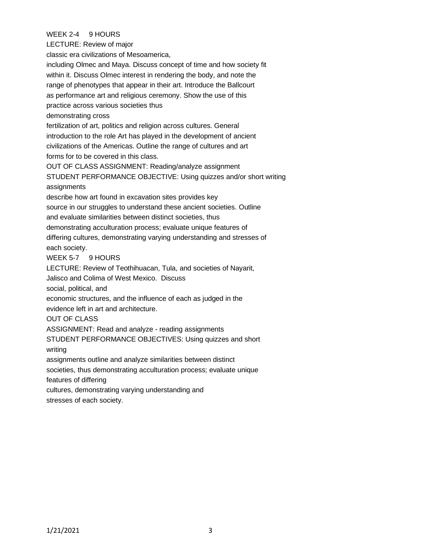# WEEK 2-4 9 HOURS

LECTURE: Review of major

classic era civilizations of Mesoamerica,

including Olmec and Maya. Discuss concept of time and how society fit within it. Discuss Olmec interest in rendering the body, and note the range of phenotypes that appear in their art. Introduce the Ballcourt as performance art and religious ceremony. Show the use of this practice across various societies thus demonstrating cross fertilization of art, politics and religion across cultures. General introduction to the role Art has played in the development of ancient civilizations of the Americas. Outline the range of cultures and art

forms for to be covered in this class.

OUT OF CLASS ASSIGNMENT: Reading/analyze assignment

STUDENT PERFORMANCE OBJECTIVE: Using quizzes and/or short writing assignments

describe how art found in excavation sites provides key

source in our struggles to understand these ancient societies. Outline and evaluate similarities between distinct societies, thus

demonstrating acculturation process; evaluate unique features of

differing cultures, demonstrating varying understanding and stresses of each society.

#### WEEK 5-7 9 HOURS

LECTURE: Review of Teothihuacan, Tula, and societies of Nayarit,

Jalisco and Colima of West Mexico. Discuss

social, political, and

economic structures, and the influence of each as judged in the

evidence left in art and architecture.

### OUT OF CLASS

ASSIGNMENT: Read and analyze - reading assignments

STUDENT PERFORMANCE OBJECTIVES: Using quizzes and short writing

assignments outline and analyze similarities between distinct

societies, thus demonstrating acculturation process; evaluate unique

features of differing

cultures, demonstrating varying understanding and

stresses of each society.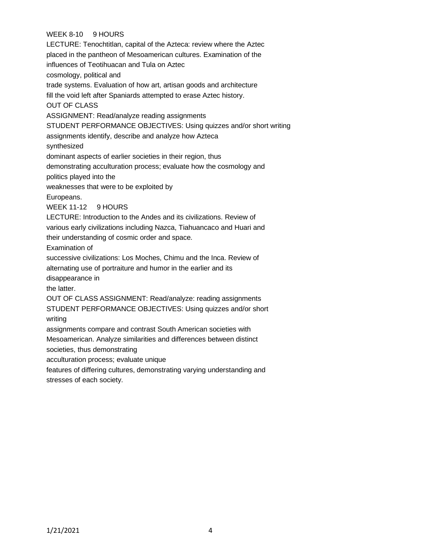# WEEK 8-10 9 HOURS

LECTURE: Tenochtitlan, capital of the Azteca: review where the Aztec placed in the pantheon of Mesoamerican cultures. Examination of the influences of Teotihuacan and Tula on Aztec cosmology, political and trade systems. Evaluation of how art, artisan goods and architecture fill the void left after Spaniards attempted to erase Aztec history. OUT OF CLASS ASSIGNMENT: Read/analyze reading assignments STUDENT PERFORMANCE OBJECTIVES: Using quizzes and/or short writing assignments identify, describe and analyze how Azteca synthesized dominant aspects of earlier societies in their region, thus demonstrating acculturation process; evaluate how the cosmology and politics played into the weaknesses that were to be exploited by Europeans. WEEK 11-12 9 HOURS LECTURE: Introduction to the Andes and its civilizations. Review of various early civilizations including Nazca, Tiahuancaco and Huari and their understanding of cosmic order and space. Examination of successive civilizations: Los Moches, Chimu and the Inca. Review of alternating use of portraiture and humor in the earlier and its disappearance in the latter. OUT OF CLASS ASSIGNMENT: Read/analyze: reading assignments STUDENT PERFORMANCE OBJECTIVES: Using quizzes and/or short writing assignments compare and contrast South American societies with Mesoamerican. Analyze similarities and differences between distinct societies, thus demonstrating acculturation process; evaluate unique features of differing cultures, demonstrating varying understanding and

stresses of each society.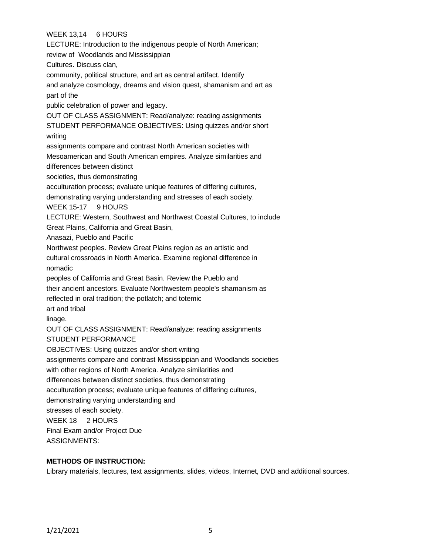# WEEK 13,14 6 HOURS

LECTURE: Introduction to the indigenous people of North American; review of Woodlands and Mississippian Cultures. Discuss clan, community, political structure, and art as central artifact. Identify and analyze cosmology, dreams and vision quest, shamanism and art as part of the public celebration of power and legacy. OUT OF CLASS ASSIGNMENT: Read/analyze: reading assignments STUDENT PERFORMANCE OBJECTIVES: Using quizzes and/or short writing assignments compare and contrast North American societies with Mesoamerican and South American empires. Analyze similarities and differences between distinct societies, thus demonstrating acculturation process; evaluate unique features of differing cultures, demonstrating varying understanding and stresses of each society. WEEK 15-17 9 HOURS LECTURE: Western, Southwest and Northwest Coastal Cultures, to include Great Plains, California and Great Basin, Anasazi, Pueblo and Pacific Northwest peoples. Review Great Plains region as an artistic and cultural crossroads in North America. Examine regional difference in nomadic peoples of California and Great Basin. Review the Pueblo and their ancient ancestors. Evaluate Northwestern people's shamanism as reflected in oral tradition; the potlatch; and totemic art and tribal linage. OUT OF CLASS ASSIGNMENT: Read/analyze: reading assignments STUDENT PERFORMANCE OBJECTIVES: Using quizzes and/or short writing assignments compare and contrast Mississippian and Woodlands societies with other regions of North America. Analyze similarities and differences between distinct societies, thus demonstrating acculturation process; evaluate unique features of differing cultures, demonstrating varying understanding and stresses of each society. WEEK 18 2 HOURS Final Exam and/or Project Due ASSIGNMENTS:

### **METHODS OF INSTRUCTION:**

Library materials, lectures, text assignments, slides, videos, Internet, DVD and additional sources.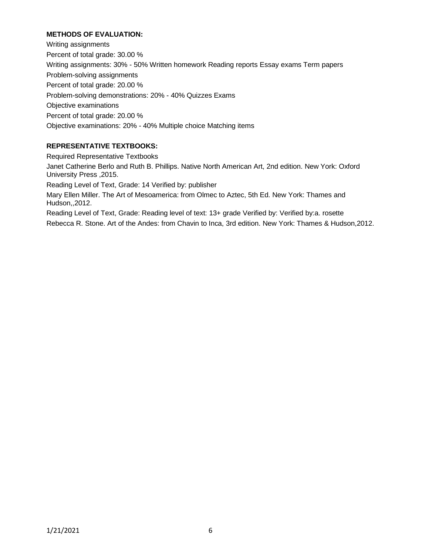# **METHODS OF EVALUATION:**

Writing assignments Percent of total grade: 30.00 % Writing assignments: 30% - 50% Written homework Reading reports Essay exams Term papers Problem-solving assignments Percent of total grade: 20.00 % Problem-solving demonstrations: 20% - 40% Quizzes Exams Objective examinations Percent of total grade: 20.00 % Objective examinations: 20% - 40% Multiple choice Matching items

# **REPRESENTATIVE TEXTBOOKS:**

Required Representative Textbooks Janet Catherine Berlo and Ruth B. Phillips. Native North American Art, 2nd edition. New York: Oxford University Press ,2015. Reading Level of Text, Grade: 14 Verified by: publisher Mary Ellen Miller. The Art of Mesoamerica: from Olmec to Aztec, 5th Ed. New York: Thames and Hudson,,2012. Reading Level of Text, Grade: Reading level of text: 13+ grade Verified by: Verified by:a. rosette Rebecca R. Stone. Art of the Andes: from Chavin to Inca, 3rd edition. New York: Thames & Hudson,2012.